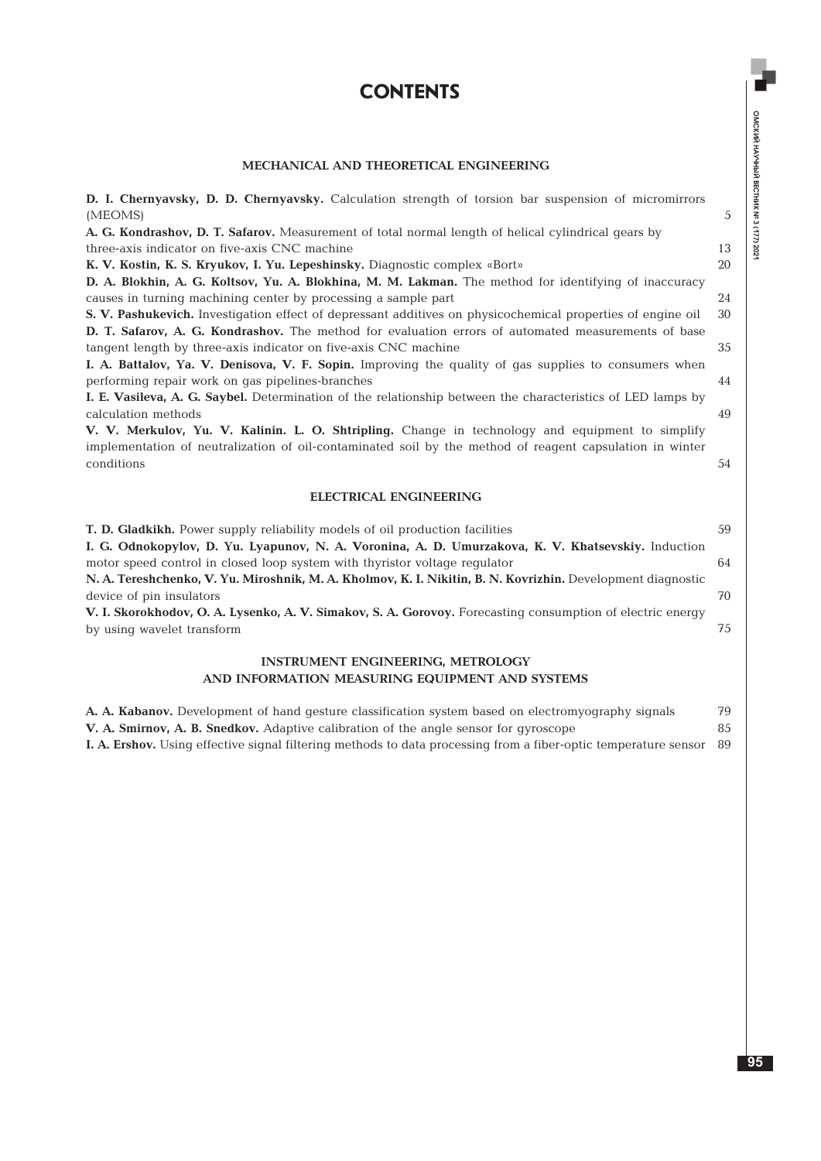# **contents**

## **MECHANICAL AND THEORETICAL ENGINEERING**

| D. I. Chernyavsky, D. D. Chernyavsky. Calculation strength of torsion bar suspension of micromirrors        |                |
|-------------------------------------------------------------------------------------------------------------|----------------|
| (MEOMS)                                                                                                     | $\overline{5}$ |
| A. G. Kondrashov, D. T. Safarov. Measurement of total normal length of helical cylindrical gears by         |                |
| three-axis indicator on five-axis CNC machine                                                               | 13             |
| K. V. Kostin, K. S. Kryukov, I. Yu. Lepeshinsky. Diagnostic complex «Bort»                                  | 20             |
| D. A. Blokhin, A. G. Koltsov, Yu. A. Blokhina, M. M. Lakman. The method for identifying of inaccuracy       |                |
| causes in turning machining center by processing a sample part                                              | 24             |
| S. V. Pashukevich. Investigation effect of depressant additives on physicochemical properties of engine oil | 30             |
| D. T. Safarov, A. G. Kondrashov. The method for evaluation errors of automated measurements of base         |                |
| tangent length by three-axis indicator on five-axis CNC machine                                             | 35             |
| I. A. Battalov, Ya. V. Denisova, V. F. Sopin. Improving the quality of gas supplies to consumers when       |                |
| performing repair work on gas pipelines-branches                                                            | 44             |
| I. E. Vasileva, A. G. Saybel. Determination of the relationship between the characteristics of LED lamps by |                |
| calculation methods                                                                                         | 49             |
| V. V. Merkulov, Yu. V. Kalinin. L. O. Shtripling. Change in technology and equipment to simplify            |                |
| implementation of neutralization of oil-contaminated soil by the method of reagent capsulation in winter    |                |
| conditions                                                                                                  | 54             |
| <b>ELECTRICAL ENGINEERING</b>                                                                               |                |
| T. D. Gladkikh. Power supply reliability models of oil production facilities                                | 59             |
| I. G. Odnokopylov, D. Yu. Lyapunov, N. A. Voronina, A. D. Umurzakova, K. V. Khatsevskiy. Induction          |                |
| motor speed control in closed loop system with thyristor voltage regulator                                  | 64             |
| N. A. Tereshchenko, V. Yu. Miroshnik, M. A. Kholmov, K. I. Nikitin, B. N. Kovrizhin. Development diagnostic |                |
| device of pin insulators                                                                                    | 70             |
| V. I. Skorokhodov, O. A. Lysenko, A. V. Simakov, S. A. Gorovoy. Forecasting consumption of electric energy  |                |
| by using wavelet transform                                                                                  | 75             |
| INCTDUMENT ENCINEEDING METDOLOGY                                                                            |                |

#### **INSTRUMENT ENGINEERING, METROLOGY AND INFORMATION MEASURING EQUIPMENT AND SYSTEMS**

| A. A. Kabanov. Development of hand gesture classification system based on electromyography signals                        | 79 |
|---------------------------------------------------------------------------------------------------------------------------|----|
| <b>V. A. Smirnov, A. B. Snedkov.</b> Adaptive calibration of the angle sensor for gyroscope                               | 85 |
| <b>I. A. Ershov.</b> Using effective signal filtering methods to data processing from a fiber-optic temperature sensor 89 |    |

ОМСКИЙ НАУЧНЫЙ ВЕСТНИК № 3 (177) 2021

ОМСКИЙ НАУЧНЫЙ ВЕСТНИК № 3 (177) 2021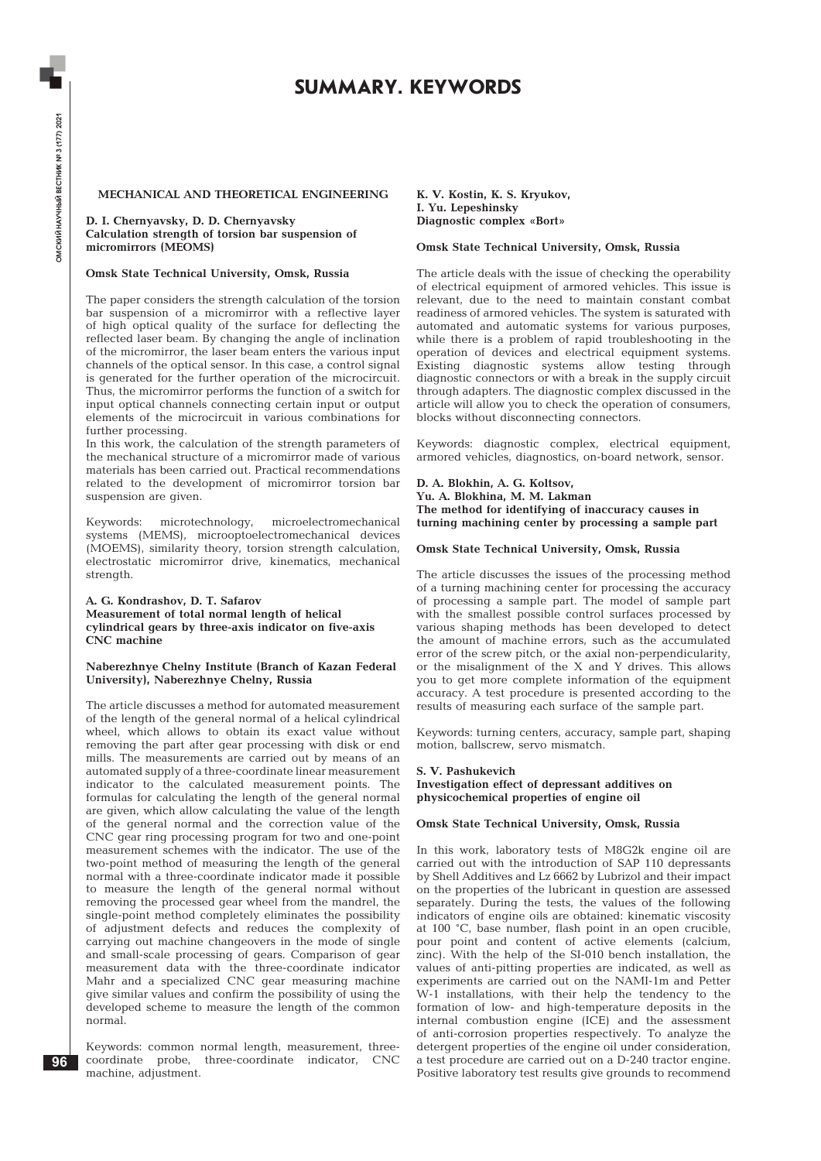## **SUMMARY. KEYWORDS**

### **MECHANICAL AND THEORETICAL ENGINEERING**

**D. I. Chernyavsky, D. D. Chernyavsky Calculation strength of torsion bar suspension of micromirrors (MEOMS)**

#### **Omsk State Technical University, Omsk, Russia**

The paper considers the strength calculation of the torsion bar suspension of a micromirror with a reflective layer of high optical quality of the surface for deflecting the reflected laser beam. By changing the angle of inclination of the micromirror, the laser beam enters the various input channels of the optical sensor. In this case, a control signal is generated for the further operation of the microcircuit. Thus, the micromirror performs the function of a switch for input optical channels connecting certain input or output elements of the microcircuit in various combinations for further processing.

In this work, the calculation of the strength parameters of the mechanical structure of a micromirror made of various materials has been carried out. Practical recommendations related to the development of micromirror torsion bar suspension are given.

Keywords: microtechnology, microelectromechanical systems (MEMS), microoptoelectromechanical devices (MOEMS), similarity theory, torsion strength calculation, electrostatic micromirror drive, kinematics, mechanical strength.

#### **A. G. Kondrashov, D. T. Safarov Measurement of total normal length of helical cylindrical gears by three-axis indicator on five-axis CNC machine**

#### **Naberezhnye Chelny Institute (Branch of Kazan Federal University), Naberezhnye Chelny, Russia**

The article discusses a method for automated measurement of the length of the general normal of a helical cylindrical wheel, which allows to obtain its exact value without removing the part after gear processing with disk or end mills. The measurements are carried out by means of an automated supply of a three-coordinate linear measurement indicator to the calculated measurement points. The formulas for calculating the length of the general normal are given, which allow calculating the value of the length of the general normal and the correction value of the CNC gear ring processing program for two and one-point measurement schemes with the indicator. The use of the two-point method of measuring the length of the general normal with a three-coordinate indicator made it possible to measure the length of the general normal without removing the processed gear wheel from the mandrel, the single-point method completely eliminates the possibility of adjustment defects and reduces the complexity of carrying out machine changeovers in the mode of single and small-scale processing of gears. Comparison of gear measurement data with the three-coordinate indicator Mahr and a specialized CNC gear measuring machine give similar values and confirm the possibility of using the developed scheme to measure the length of the common normal.

Keywords: common normal length, measurement, threecoordinate probe, three-coordinate indicator, CNC machine, adjustment.

**K. V. Kostin, K. S. Kryukov, I. Yu. Lepeshinsky Diagnostic complex «Bort»**

#### **Omsk State Technical University, Omsk, Russia**

The article deals with the issue of checking the operability of electrical equipment of armored vehicles. This issue is relevant, due to the need to maintain constant combat readiness of armored vehicles. The system is saturated with automated and automatic systems for various purposes, while there is a problem of rapid troubleshooting in the operation of devices and electrical equipment systems. Existing diagnostic systems allow testing through diagnostic connectors or with a break in the supply circuit through adapters. The diagnostic complex discussed in the article will allow you to check the operation of consumers, blocks without disconnecting connectors.

Keywords: diagnostic complex, electrical equipment, armored vehicles, diagnostics, on-board network, sensor.

**D. A. Blokhin, A. G. Koltsov, Yu. A. Blokhina, M. M. Lakman The method for identifying of inaccuracy causes in turning machining center by processing a sample part**

#### **Omsk State Technical University, Omsk, Russia**

The article discusses the issues of the processing method of a turning machining center for processing the accuracy of processing a sample part. The model of sample part with the smallest possible control surfaces processed by various shaping methods has been developed to detect the amount of machine errors, such as the accumulated error of the screw pitch, or the axial non-perpendicularity, or the misalignment of the X and Y drives. This allows you to get more complete information of the equipment accuracy. A test procedure is presented according to the results of measuring each surface of the sample part.

Keywords: turning centers, accuracy, sample part, shaping motion, ballscrew, servo mismatch.

#### **S. V. Pashukevich**

**Investigation effect of depressant additives on physicochemical properties of engine oil**

#### **Omsk State Technical University, Omsk, Russia**

In this work, laboratory tests of M8G2k engine oil are carried out with the introduction of SAP 110 depressants by Shell Additives and Lz 6662 by Lubrizol and their impact on the properties of the lubricant in question are assessed separately. During the tests, the values of the following indicators of engine oils are obtained: kinematic viscosity at 100 °C, base number, flash point in an open crucible, pour point and content of active elements (calcium, zinc). With the help of the SI-010 bench installation, the values of anti-pitting properties are indicated, as well as experiments are carried out on the NAMI-1m and Petter W-1 installations, with their help the tendency to the formation of low- and high-temperature deposits in the internal combustion engine (ICE) and the assessment of anti-corrosion properties respectively. To analyze the detergent properties of the engine oil under consideration, a test procedure are carried out on a D-240 tractor engine. Positive laboratory test results give grounds to recommend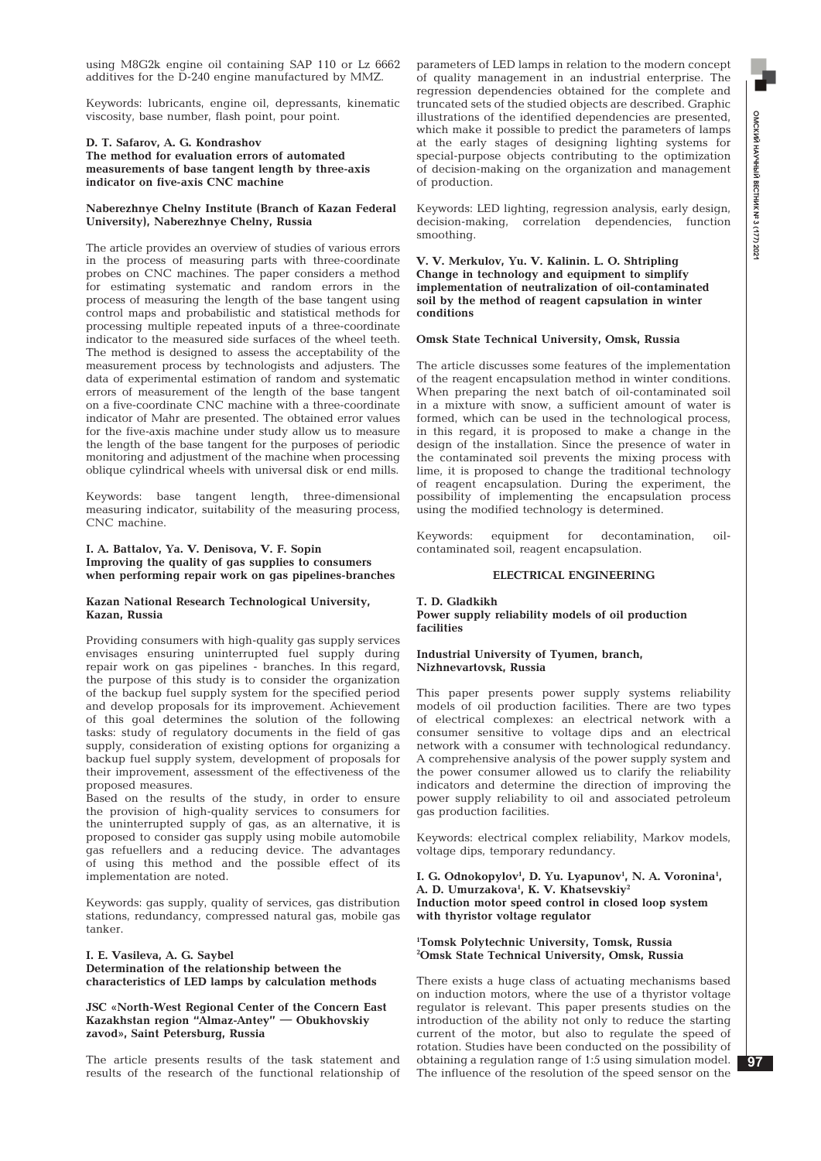**ОМСКИЙ НАУЧНЫЙ ВЕСТНИК № 3 (177) 202** ОМСКИЙ НАУЧНЫЙ ВЕСТНИК № 3 (177) 2021

using M8G2k engine oil containing SAP 110 or Lz 6662 additives for the D-240 engine manufactured by MMZ.

Keywords: lubricants, engine oil, depressants, kinematic viscosity, base number, flash point, pour point.

## **D. T. Safarov, A. G. Kondrashov**

**The method for evaluation errors of automated measurements of base tangent length by three-axis indicator on five-axis CNC machine**

#### **Naberezhnye Chelny Institute (Branch of Kazan Federal University), Naberezhnye Chelny, Russia**

The article provides an overview of studies of various errors in the process of measuring parts with three-coordinate probes on CNC machines. The paper considers a method for estimating systematic and random errors in the process of measuring the length of the base tangent using control maps and probabilistic and statistical methods for processing multiple repeated inputs of a three-coordinate indicator to the measured side surfaces of the wheel teeth. The method is designed to assess the acceptability of the measurement process by technologists and adjusters. The data of experimental estimation of random and systematic errors of measurement of the length of the base tangent on a five-coordinate CNC machine with a three-coordinate indicator of Mahr are presented. The obtained error values for the five-axis machine under study allow us to measure the length of the base tangent for the purposes of periodic monitoring and adjustment of the machine when processing oblique cylindrical wheels with universal disk or end mills.

Keywords: base tangent length, three-dimensional measuring indicator, suitability of the measuring process, CNC machine.

#### **I. A. Battalov, Ya. V. Denisova, V. F. Sopin Improving the quality of gas supplies to consumers when performing repair work on gas pipelines-branches**

#### **Kazan National Research Technological University, Kazan, Russia**

Providing consumers with high-quality gas supply services envisages ensuring uninterrupted fuel supply during repair work on gas pipelines - branches. In this regard, the purpose of this study is to consider the organization of the backup fuel supply system for the specified period and develop proposals for its improvement. Achievement of this goal determines the solution of the following tasks: study of regulatory documents in the field of gas supply, consideration of existing options for organizing a backup fuel supply system, development of proposals for their improvement, assessment of the effectiveness of the proposed measures.

Based on the results of the study, in order to ensure the provision of high-quality services to consumers for the uninterrupted supply of gas, as an alternative, it is proposed to consider gas supply using mobile automobile gas refuellers and a reducing device. The advantages of using this method and the possible effect of its implementation are noted.

Keywords: gas supply, quality of services, gas distribution stations, redundancy, compressed natural gas, mobile gas tanker.

#### **I. E. Vasileva, A. G. Saybel Determination of the relationship between the characteristics of LED lamps by calculation methods**

#### **JSC «North-West Regional Center of the Concern East Kazakhstan region "Almaz-Antey" — Obukhovskiy zavod», Saint Petersburg, Russia**

The article presents results of the task statement and results of the research of the functional relationship of parameters of LED lamps in relation to the modern concept of quality management in an industrial enterprise. The regression dependencies obtained for the complete and truncated sets of the studied objects are described. Graphic illustrations of the identified dependencies are presented, which make it possible to predict the parameters of lamps at the early stages of designing lighting systems for special-purpose objects contributing to the optimization of decision-making on the organization and management of production.

Keywords: LED lighting, regression analysis, early design, decision-making, correlation dependencies, function smoothing.

#### **V. V. Merkulov, Yu. V. Kalinin. L. O. Shtripling Change in technology and equipment to simplify implementation of neutralization of oil-contaminated soil by the method of reagent capsulation in winter conditions**

#### **Omsk State Technical University, Omsk, Russia**

The article discusses some features of the implementation of the reagent encapsulation method in winter conditions. When preparing the next batch of oil-contaminated soil in a mixture with snow, a sufficient amount of water is formed, which can be used in the technological process, in this regard, it is proposed to make a change in the design of the installation. Since the presence of water in the contaminated soil prevents the mixing process with lime, it is proposed to change the traditional technology of reagent encapsulation. During the experiment, the possibility of implementing the encapsulation process using the modified technology is determined.

Keywords: equipment for decontamination, oilcontaminated soil, reagent encapsulation.

#### **ELECTRICAL ENGINEERING**

#### **T. D. Gladkikh Power supply reliability models of oil production facilities**

#### **Industrial University of Tyumen, branch, Nizhnevartovsk, Russia**

This paper presents power supply systems reliability models of oil production facilities. There are two types of electrical complexes: an electrical network with a consumer sensitive to voltage dips and an electrical network with a consumer with technological redundancy. A comprehensive analysis of the power supply system and the power consumer allowed us to clarify the reliability indicators and determine the direction of improving the power supply reliability to oil and associated petroleum gas production facilities.

Keywords: electrical complex reliability, Markov models, voltage dips, temporary redundancy.

I. G. Odnokopylov<sup>1</sup>, D. Yu. Lyapunov<sup>1</sup>, N. A. Voronina<sup>1</sup>, **A. D. Umurzakova1 , K. V. Khatsevskiy2 Induction motor speed control in closed loop system with thyristor voltage regulator**

#### **1 Tomsk Polytechnic University, Tomsk, Russia 2 Omsk State Technical University, Omsk, Russia**

There exists a huge class of actuating mechanisms based on induction motors, where the use of a thyristor voltage regulator is relevant. This paper presents studies on the introduction of the ability not only to reduce the starting current of the motor, but also to regulate the speed of rotation. Studies have been conducted on the possibility of obtaining a regulation range of 1:5 using simulation model. The influence of the resolution of the speed sensor on the